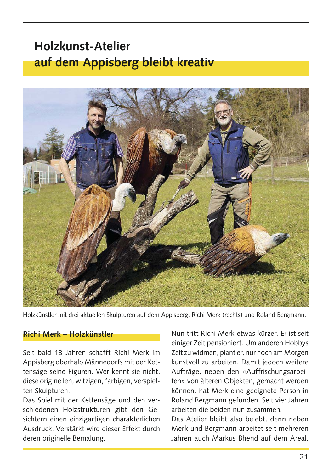## **Holzkunst-Atelier** auf dem Appisberg bleibt kreativ



Holzkünstler mit drei aktuellen Skulpturen auf dem Appisberg: Richi Merk (rechts) und Roland Bergmann.

## Richi Merk - Holzkünstler

Seit bald 18 Jahren schafft Richi Merk im Appisberg oberhalb Männedorfs mit der Kettensäge seine Figuren. Wer kennt sie nicht, diese originellen, witzigen, farbigen, verspielten Skulpturen.

Das Spiel mit der Kettensäge und den verschiedenen Holzstrukturen gibt den Gesichtern einen einzigartigen charakterlichen Ausdruck. Verstärkt wird dieser Effekt durch deren originelle Bemalung.

Nun tritt Richi Merk etwas kürzer. Er ist seit einiger Zeit pensioniert. Um anderen Hobbys Zeit zu widmen, plant er, nur noch am Morgen kunstvoll zu arbeiten. Damit jedoch weitere Aufträge, neben den «Auffrischungsarbeiten» von älteren Objekten, gemacht werden können, hat Merk eine geeignete Person in Roland Bergmann gefunden. Seit vier Jahren arbeiten die beiden nun zusammen

Das Atelier bleibt also belebt, denn neben Merk und Bergmann arbeitet seit mehreren Jahren auch Markus Bhend auf dem Areal.